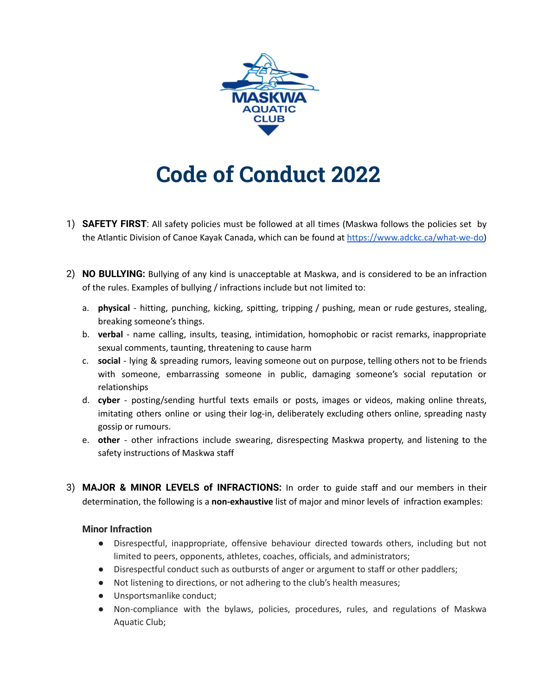

## **Code of Conduct 2022**

- 1) **SAFETY FIRST**: All safety policies must be followed at all times (Maskwa follows the policies set by the Atlantic Division of Canoe Kayak Canada, which can be found at [https://www.adckc.ca/what-we-do\)](http://www.adckc.ca)
- 2) **NO BULLYING:** Bullying of any kind is unacceptable at Maskwa, and is considered to be an infraction of the rules. Examples of bullying / infractions include but not limited to:
	- a. **physical** hitting, punching, kicking, spitting, tripping / pushing, mean or rude gestures, stealing, breaking someone's things.
	- b. **verbal** name calling, insults, teasing, intimidation, homophobic or racist remarks, inappropriate sexual comments, taunting, threatening to cause harm
	- c. **social** lying & spreading rumors, leaving someone out on purpose, telling others not to be friends with someone, embarrassing someone in public, damaging someone's social reputation or relationships
	- d. **cyber** posting/sending hurtful texts emails or posts, images or videos, making online threats, imitating others online or using their log-in, deliberately excluding others online, spreading nasty gossip or rumours.
	- e. **other** other infractions include swearing, disrespecting Maskwa property, and listening to the safety instructions of Maskwa staff
- 3) **MAJOR & MINOR LEVELS of INFRACTIONS:** In order to guide staff and our members in their determination, the following is a **non-exhaustive** list of major and minor levels of infraction examples:

## **Minor Infraction**

- Disrespectful, inappropriate, offensive behaviour directed towards others, including but not limited to peers, opponents, athletes, coaches, officials, and administrators;
- Disrespectful conduct such as outbursts of anger or argument to staff or other paddlers;
- Not listening to directions, or not adhering to the club's health measures;
- Unsportsmanlike conduct;
- Non-compliance with the bylaws, policies, procedures, rules, and regulations of Maskwa Aquatic Club;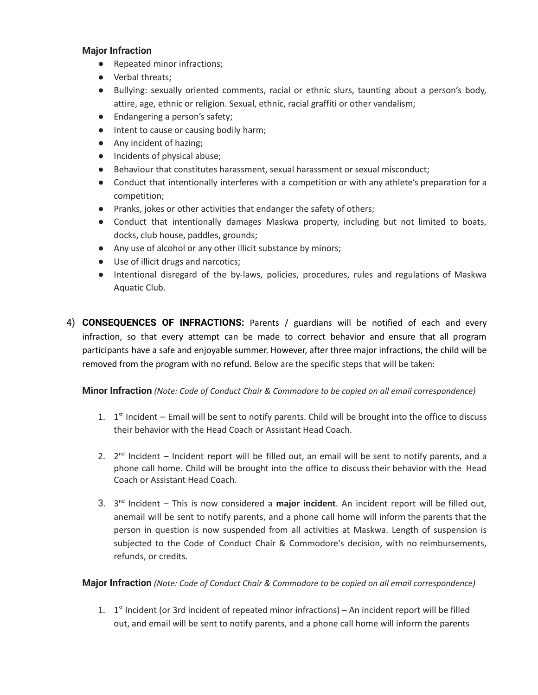## **Major Infraction**

- Repeated minor infractions;
- Verbal threats;
- Bullying: sexually oriented comments, racial or ethnic slurs, taunting about a person's body, attire, age, ethnic or religion. Sexual, ethnic, racial graffiti or other vandalism;
- Endangering a person's safety;
- Intent to cause or causing bodily harm;
- Any incident of hazing;
- Incidents of physical abuse;
- Behaviour that constitutes harassment, sexual harassment or sexual misconduct;
- Conduct that intentionally interferes with a competition or with any athlete's preparation for a competition;
- Pranks, jokes or other activities that endanger the safety of others;
- Conduct that intentionally damages Maskwa property, including but not limited to boats, docks, club house, paddles, grounds;
- Any use of alcohol or any other illicit substance by minors;
- Use of illicit drugs and narcotics;
- Intentional disregard of the by-laws, policies, procedures, rules and regulations of Maskwa Aquatic Club.
- 4) **CONSEQUENCES OF INFRACTIONS:** Parents / guardians will be notified of each and every infraction, so that every attempt can be made to correct behavior and ensure that all program participants have a safe and enjoyable summer. However, after three major infractions, the child will be removed from the program with no refund. Below are the specific steps that will be taken:

**Minor Infraction** *(Note: Code of Conduct Chair & Commodore to be copied on all email correspondence)*

- 1.  $1<sup>st</sup>$  Incident Email will be sent to notify parents. Child will be brought into the office to discuss their behavior with the Head Coach or Assistant Head Coach.
- 2.  $2^{nd}$  Incident Incident report will be filled out, an email will be sent to notify parents, and a phone call home. Child will be brought into the office to discuss their behavior with the Head Coach or Assistant Head Coach.
- 3. 3 nd Incident This is now considered a **major incident**. An incident report will be filled out, anemail will be sent to notify parents, and a phone call home will inform the parents that the person in question is now suspended from all activities at Maskwa. Length of suspension is subjected to the Code of Conduct Chair & Commodore's decision, with no reimbursements, refunds, or credits.

**Major Infraction** *(Note: Code of Conduct Chair & Commodore to be copied on all email correspondence)*

1.  $1<sup>st</sup>$  Incident (or 3rd incident of repeated minor infractions) – An incident report will be filled out, and email will be sent to notify parents, and a phone call home will inform the parents